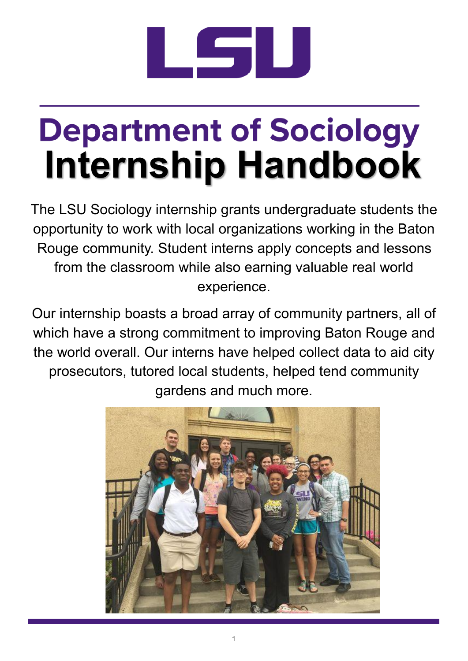

# **Department of Sociology Internship Handbook**

The LSU Sociology internship grants undergraduate students the opportunity to work with local organizations working in the Baton Rouge community. Student interns apply concepts and lessons from the classroom while also earning valuable real world experience.

Our internship boasts a broad array of community partners, all of which have a strong commitment to improving Baton Rouge and the world overall. Our interns have helped collect data to aid city prosecutors, tutored local students, helped tend community gardens and much more.

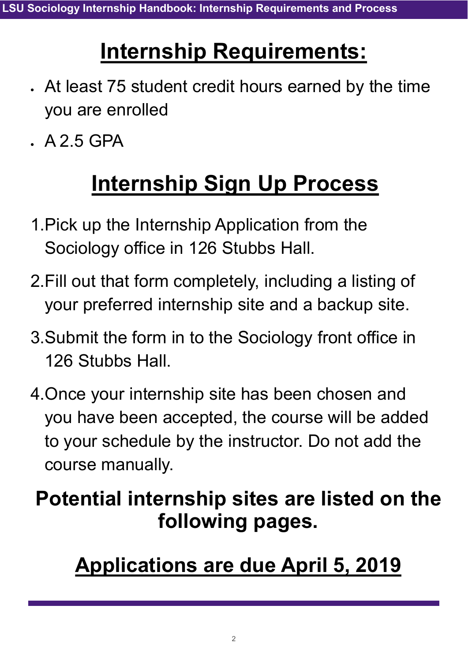### **Internship Requirements:**

- At least 75 student credit hours earned by the time you are enrolled
- $A 2 5 GPA$

### **Internship Sign Up Process**

- 1.Pick up the Internship Application from the Sociology office in 126 Stubbs Hall.
- 2.Fill out that form completely, including a listing of your preferred internship site and a backup site.
- 3.Submit the form in to the Sociology front office in 126 Stubbs Hall.
- 4.Once your internship site has been chosen and you have been accepted, the course will be added to your schedule by the instructor. Do not add the course manually.

### **Potential internship sites are listed on the following pages.**

### **Applications are due April 5, 2019**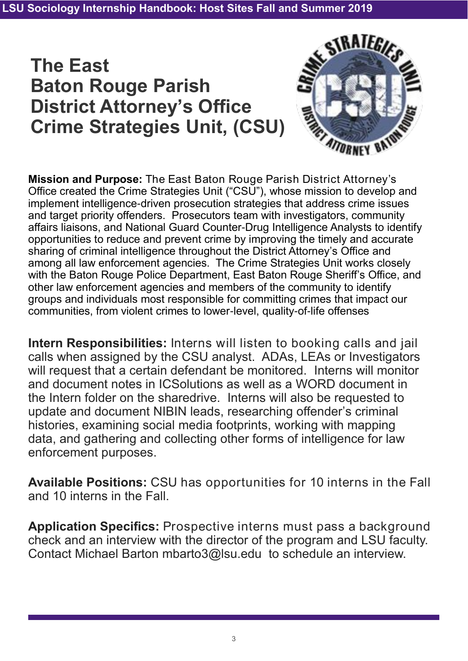### **The East Baton Rouge Parish District Attorney's Office Crime Strategies Unit, (CSU)**



**Mission and Purpose:** The East Baton Rouge Parish District Attorney's Office created the Crime Strategies Unit ("CSU"), whose mission to develop and implement intelligence-driven prosecution strategies that address crime issues and target priority offenders. Prosecutors team with investigators, community affairs liaisons, and National Guard Counter-Drug Intelligence Analysts to identify opportunities to reduce and prevent crime by improving the timely and accurate sharing of criminal intelligence throughout the District Attorney's Office and among all law enforcement agencies. The Crime Strategies Unit works closely with the Baton Rouge Police Department, East Baton Rouge Sheriff's Office, and other law enforcement agencies and members of the community to identify groups and individuals most responsible for committing crimes that impact our communities, from violent crimes to lower-level, quality-of-life offenses

**Intern Responsibilities:** Interns will listen to booking calls and jail calls when assigned by the CSU analyst. ADAs, LEAs or Investigators will request that a certain defendant be monitored. Interns will monitor and document notes in ICSolutions as well as a WORD document in the Intern folder on the sharedrive. Interns will also be requested to update and document NIBIN leads, researching offender's criminal histories, examining social media footprints, working with mapping data, and gathering and collecting other forms of intelligence for law enforcement purposes.

**Available Positions:** CSU has opportunities for 10 interns in the Fall and 10 interns in the Fall.

**Application Specifics:** Prospective interns must pass a background check and an interview with the director of the program and LSU faculty. Contact Michael Barton mbarto3@lsu.edu to schedule an interview.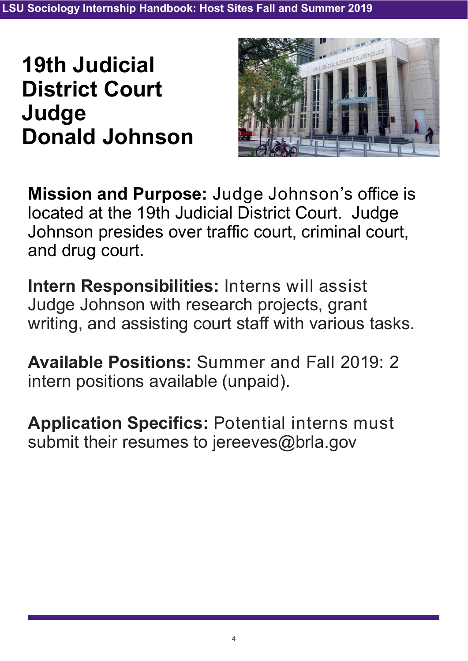### **19th Judicial District Court Judge Donald Johnson**



**Mission and Purpose:** Judge Johnson's office is located at the 19th Judicial District Court. Judge Johnson presides over traffic court, criminal court, and drug court.

**Intern Responsibilities:** Interns will assist Judge Johnson with research projects, grant writing, and assisting court staff with various tasks.

**Available Positions:** Summer and Fall 2019: 2 intern positions available (unpaid).

**Application Specifics:** Potential interns must submit their resumes to jereeves@brla.gov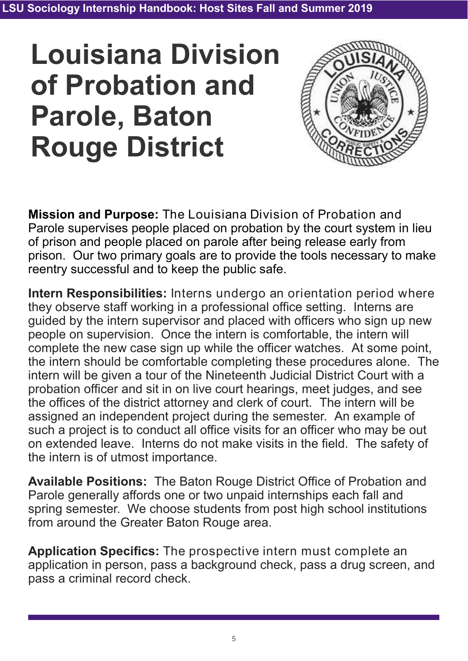## **Louisiana Division of Probation and Parole, Baton Rouge District**



**Mission and Purpose:** The Louisiana Division of Probation and Parole supervises people placed on probation by the court system in lieu of prison and people placed on parole after being release early from prison. Our two primary goals are to provide the tools necessary to make reentry successful and to keep the public safe.

**Intern Responsibilities:** Interns undergo an orientation period where they observe staff working in a professional office setting. Interns are guided by the intern supervisor and placed with officers who sign up new people on supervision. Once the intern is comfortable, the intern will complete the new case sign up while the officer watches. At some point, the intern should be comfortable completing these procedures alone. The intern will be given a tour of the Nineteenth Judicial District Court with a probation officer and sit in on live court hearings, meet judges, and see the offices of the district attorney and clerk of court. The intern will be assigned an independent project during the semester. An example of such a project is to conduct all office visits for an officer who may be out on extended leave. Interns do not make visits in the field. The safety of the intern is of utmost importance.

**Available Positions:** The Baton Rouge District Office of Probation and Parole generally affords one or two unpaid internships each fall and spring semester. We choose students from post high school institutions from around the Greater Baton Rouge area.

**Application Specifics:** The prospective intern must complete an application in person, pass a background check, pass a drug screen, and pass a criminal record check.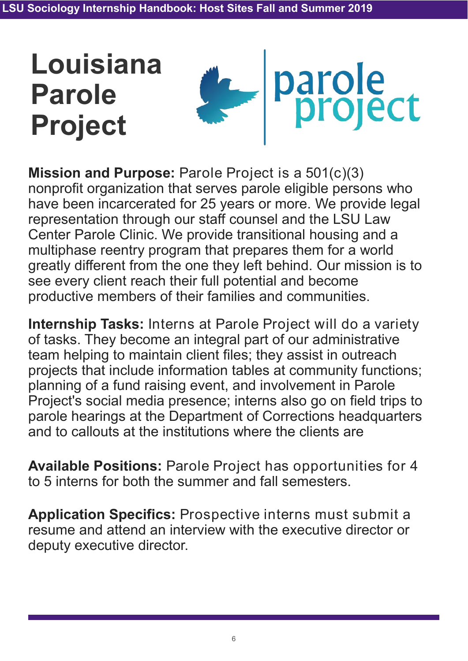## **Louisiana Parole Project**



**Mission and Purpose:** Parole Project is a 501(c)(3) nonprofit organization that serves parole eligible persons who have been incarcerated for 25 years or more. We provide legal representation through our staff counsel and the LSU Law Center Parole Clinic. We provide transitional housing and a multiphase reentry program that prepares them for a world greatly different from the one they left behind. Our mission is to see every client reach their full potential and become productive members of their families and communities.

**Internship Tasks:** Interns at Parole Project will do a variety of tasks. They become an integral part of our administrative team helping to maintain client files; they assist in outreach projects that include information tables at community functions; planning of a fund raising event, and involvement in Parole Project's social media presence; interns also go on field trips to parole hearings at the Department of Corrections headquarters and to callouts at the institutions where the clients are

**Available Positions:** Parole Project has opportunities for 4 to 5 interns for both the summer and fall semesters.

**Application Specifics:** Prospective interns must submit a resume and attend an interview with the executive director or deputy executive director.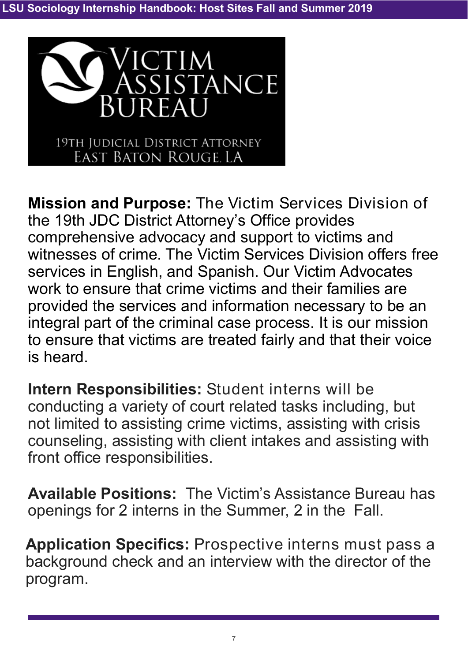

**Mission and Purpose:** The Victim Services Division of the 19th JDC District Attorney's Office provides comprehensive advocacy and support to victims and witnesses of crime. The Victim Services Division offers free services in English, and Spanish. Our Victim Advocates work to ensure that crime victims and their families are provided the services and information necessary to be an integral part of the criminal case process. It is our mission to ensure that victims are treated fairly and that their voice is heard.

**Intern Responsibilities:** Student interns will be conducting a variety of court related tasks including, but not limited to assisting crime victims, assisting with crisis counseling, assisting with client intakes and assisting with front office responsibilities.

**Available Positions:** The Victim's Assistance Bureau has openings for 2 interns in the Summer, 2 in the Fall.

**Application Specifics:** Prospective interns must pass a background check and an interview with the director of the program.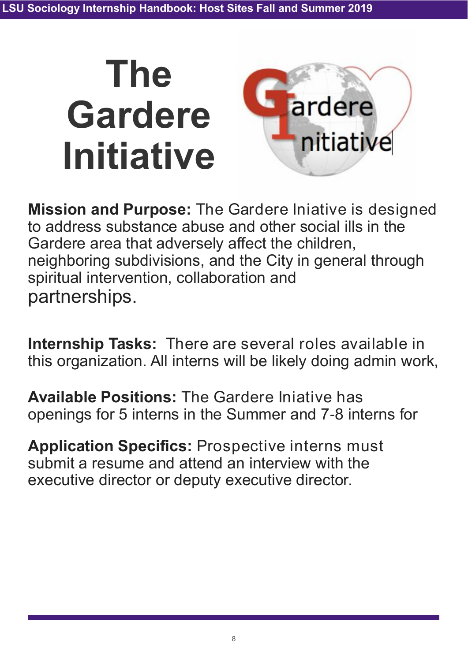

**Mission and Purpose:** The Gardere Iniative is designed to address substance abuse and other social ills in the Gardere area that adversely affect the children, neighboring subdivisions, and the City in general through spiritual intervention, collaboration and partnerships.

**Internship Tasks:** There are several roles available in this organization. All interns will be likely doing admin work,

**Available Positions:** The Gardere Iniative has openings for 5 interns in the Summer and 7-8 interns for

**Application Specifics:** Prospective interns must submit a resume and attend an interview with the executive director or deputy executive director.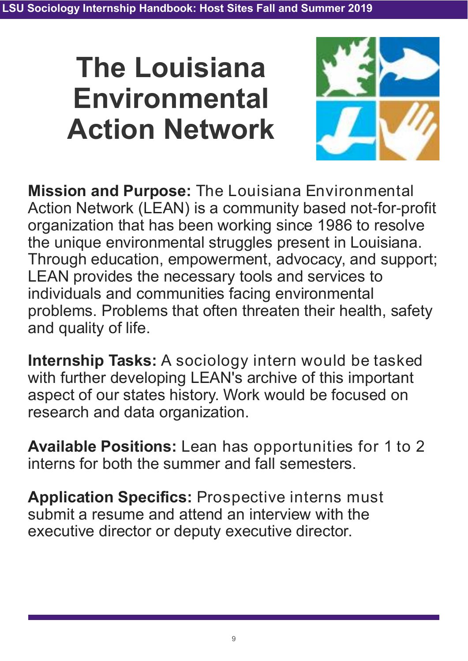## **The Louisiana Environmental Action Network**



**Mission and Purpose:** The Louisiana Environmental Action Network (LEAN) is a community based not-for-profit organization that has been working since 1986 to resolve the unique environmental struggles present in Louisiana. Through education, empowerment, advocacy, and support; LEAN provides the necessary tools and services to individuals and communities facing environmental problems. Problems that often threaten their health, safety and quality of life.

**Internship Tasks:** A sociology intern would be tasked with further developing LEAN's archive of this important aspect of our states history. Work would be focused on research and data organization.

**Available Positions:** Lean has opportunities for 1 to 2 interns for both the summer and fall semesters.

**Application Specifics:** Prospective interns must submit a resume and attend an interview with the executive director or deputy executive director.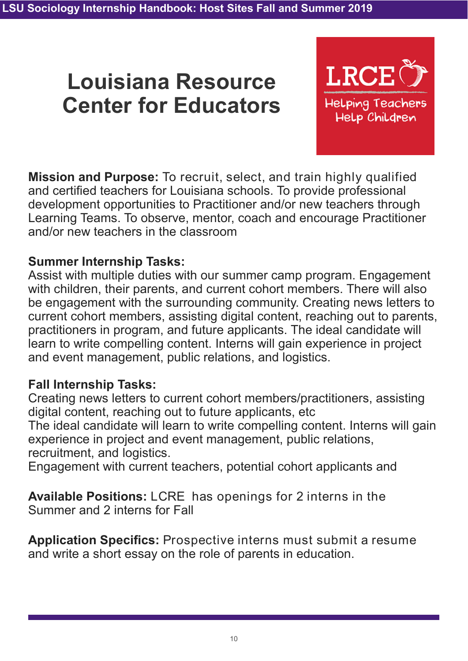### **Louisiana Resource Center for Educators**



**Mission and Purpose:** To recruit, select, and train highly qualified and certified teachers for Louisiana schools. To provide professional development opportunities to Practitioner and/or new teachers through Learning Teams. To observe, mentor, coach and encourage Practitioner and/or new teachers in the classroom

#### **Summer Internship Tasks:**

Assist with multiple duties with our summer camp program. Engagement with children, their parents, and current cohort members. There will also be engagement with the surrounding community. Creating news letters to current cohort members, assisting digital content, reaching out to parents, practitioners in program, and future applicants. The ideal candidate will learn to write compelling content. Interns will gain experience in project and event management, public relations, and logistics.

#### **Fall Internship Tasks:**

Creating news letters to current cohort members/practitioners, assisting digital content, reaching out to future applicants, etc

The ideal candidate will learn to write compelling content. Interns will gain experience in project and event management, public relations, recruitment, and logistics.

Engagement with current teachers, potential cohort applicants and

**Available Positions:** LCRE has openings for 2 interns in the Summer and 2 interns for Fall

**Application Specifics:** Prospective interns must submit a resume and write a short essay on the role of parents in education.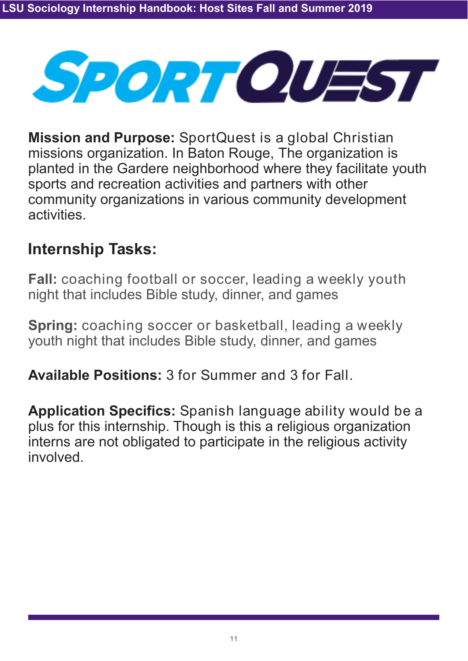

**Mission and Purpose:** SportQuest is a global Christian missions organization. In Baton Rouge, The organization is planted in the Gardere neighborhood where they facilitate youth sports and recreation activities and partners with other community organizations in various community development activities.

### **Internship Tasks:**

**Fall:** coaching football or soccer, leading a weekly youth night that includes Bible study, dinner, and games

**Spring:** coaching soccer or basketball, leading a weekly youth night that includes Bible study, dinner, and games

**Available Positions:** 3 for Summer and 3 for Fall.

**Application Specifics:** Spanish language ability would be a plus for this internship. Though is this a religious organization interns are not obligated to participate in the religious activity involved.